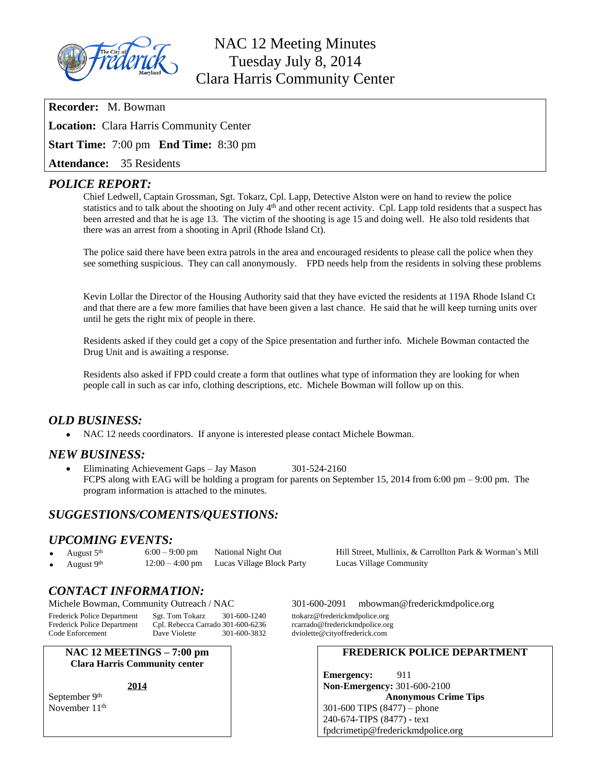

# NAC 12 Meeting Minutes Tuesday July 8, 2014 Clara Harris Community Center

**Recorder:** M. Bowman

**Location:** Clara Harris Community Center

**Start Time:** 7:00 pm **End Time:** 8:30 pm

**Attendance:** 35 Residents

## *POLICE REPORT:*

Chief Ledwell, Captain Grossman, Sgt. Tokarz, Cpl. Lapp, Detective Alston were on hand to review the police statistics and to talk about the shooting on July 4th and other recent activity. Cpl. Lapp told residents that a suspect has been arrested and that he is age 13. The victim of the shooting is age 15 and doing well. He also told residents that there was an arrest from a shooting in April (Rhode Island Ct).

The police said there have been extra patrols in the area and encouraged residents to please call the police when they see something suspicious. They can call anonymously. FPD needs help from the residents in solving these problems.

Kevin Lollar the Director of the Housing Authority said that they have evicted the residents at 119A Rhode Island Ct and that there are a few more families that have been given a last chance. He said that he will keep turning units over until he gets the right mix of people in there.

Residents asked if they could get a copy of the Spice presentation and further info. Michele Bowman contacted the Drug Unit and is awaiting a response.

Residents also asked if FPD could create a form that outlines what type of information they are looking for when people call in such as car info, clothing descriptions, etc. Michele Bowman will follow up on this.

# *OLD BUSINESS:*

NAC 12 needs coordinators. If anyone is interested please contact Michele Bowman.

## *NEW BUSINESS:*

• Eliminating Achievement Gaps – Jay Mason 301-524-2160 FCPS along with EAG will be holding a program for parents on September 15, 2014 from 6:00 pm – 9:00 pm. The program information is attached to the minutes.

# *SUGGESTIONS/COMENTS/QUESTIONS:*

#### *UPCOMING EVENTS:*

- August 5<sup>th</sup> 6:00 9:00 pm National Night Out Hill Street, Mullinix, & Carrollton Park & Worman's Mill August 9<sup>th</sup> 12:00 4:00 pm Lucas Village Block Party Lucas Village Community
- August  $9<sup>th</sup>$  12:00 4:00 pm Lucas Village Block Party

Cpl. Rebecca Carrado 301-600-6236

*CONTACT INFORMATION:*

Michele Bowman, Community Outreach / NAC 301-600-2091 [mbowman@frederickmdpolice.org](mailto:mbowman@frederickmdpolice.org)

Code Enforcement Dave Violette 301-600-3832 dviolette@cityoffrederick.com

**NAC 12 MEETINGS – 7:00 pm Clara Harris Community center**

**2014**

September 9<sup>th</sup> November 11<sup>th</sup>

Frederick Police Department Sgt. Tom Tokarz 301-600-1240 ttokarz@frederickmdpolice.org<br>Frederick Police Department Cpl. Rebecca Carrado 301-600-6236 rcarrado@frederickmdpolice.org

#### **FREDERICK POLICE DEPARTMENT**

**Emergency:** 911 **Non-Emergency:** 301-600-2100 **Anonymous Crime Tips** 301-600 TIPS (8477) – phone 240-674-TIPS (8477) - text [fpdcrimetip@frederickmdpolice.org](mailto:fpdcrimetip@frederickmdpolice.org)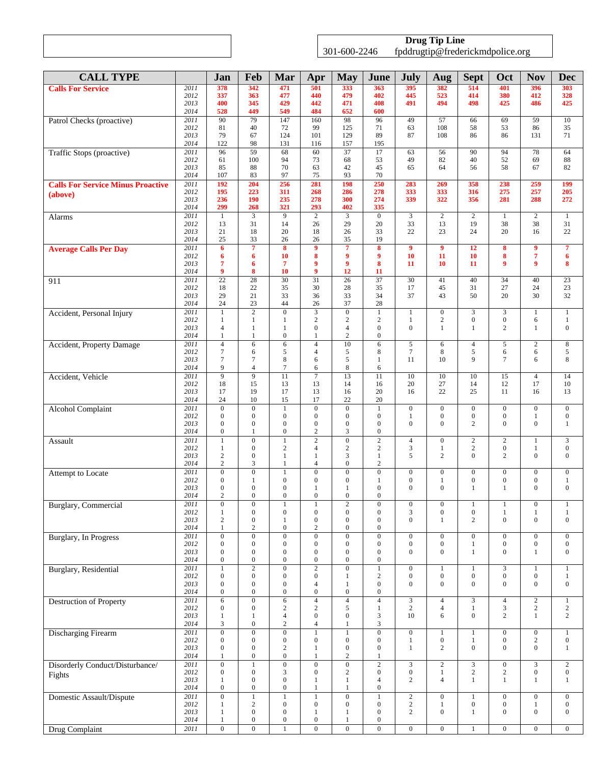|  | <b>Drug Tip Line</b>                                                     |  |
|--|--------------------------------------------------------------------------|--|
|  | . -600 -<br>30<br>246<br>tnddrugtin(@trederickmo<br>$\cdots$ or $\sigma$ |  |

| <b>CALL TYPE</b>                         |              | Jan                                  | Feb                                | Mar                                  | Apr                                | <b>May</b>                           | June                                 | July                                 | Aug                                | <b>Sept</b>                      | Oct                                  | <b>Nov</b>                         | <b>Dec</b>                         |
|------------------------------------------|--------------|--------------------------------------|------------------------------------|--------------------------------------|------------------------------------|--------------------------------------|--------------------------------------|--------------------------------------|------------------------------------|----------------------------------|--------------------------------------|------------------------------------|------------------------------------|
| <b>Calls For Service</b>                 | 2011         | 378                                  | 342                                | 471                                  | 501                                | 333                                  | 363                                  | 395                                  | 382                                | 514                              | 401                                  | 396                                | 303                                |
|                                          | 2012<br>2013 | 337<br>400                           | 363<br>345                         | 477<br>429                           | 440<br>442                         | 479<br>471                           | 402<br>408                           | 445<br>491                           | 523<br>494                         | 414<br>498                       | 380<br>425                           | 412<br>486                         | 328<br>425                         |
|                                          | 2014         | 528                                  | 449                                | 549                                  | 484                                | 652                                  | 600                                  |                                      |                                    |                                  |                                      |                                    |                                    |
| Patrol Checks (proactive)                | 2011         | 90                                   | 79                                 | 147                                  | 160                                | 98                                   | 96                                   | 49                                   | 57<br>108                          | 66                               | 69                                   | 59                                 | 10                                 |
|                                          | 2012<br>2013 | 81<br>79                             | 40<br>67                           | 72<br>124                            | 99<br>101                          | 125<br>129                           | 71<br>89                             | 63<br>87                             | 108                                | 58<br>86                         | 53<br>86                             | 86<br>131                          | 35<br>71                           |
|                                          | 2014         | 122                                  | 98                                 | 131                                  | 116                                | 157                                  | 195                                  |                                      |                                    |                                  |                                      |                                    |                                    |
| Traffic Stops (proactive)                | 2011<br>2012 | 96<br>61                             | 59<br>100                          | 68<br>94                             | 60<br>73                           | 37<br>68                             | 17<br>53                             | 63<br>49                             | 56<br>82                           | 90<br>40                         | 94<br>52                             | 78<br>69                           | 64<br>88                           |
|                                          | 2013         | 85                                   | 88                                 | 70                                   | 63                                 | 42                                   | 45                                   | 65                                   | 64                                 | 56                               | 58                                   | 67                                 | 82                                 |
|                                          | 2014<br>2011 | 107<br>192                           | 83<br>204                          | 97<br>256                            | 75<br>281                          | 93<br>198                            | 70<br>250                            | 283                                  | 269                                | 358                              | 238                                  | 259                                | 199                                |
| <b>Calls For Service Minus Proactive</b> | 2012         | 195                                  | 223                                | 311                                  | 268                                | 286                                  | 278                                  | 333                                  | 333                                | 316                              | 275                                  | 257                                | 205                                |
| (above)                                  | 2013         | 236                                  | 190                                | 235                                  | 278                                | 300                                  | 274                                  | 339                                  | 322                                | 356                              | 281                                  | 288                                | 272                                |
|                                          | 2014<br>2011 | 299<br>$\mathbf{1}$                  | 268<br>$\overline{3}$              | 321<br>$\overline{9}$                | 293<br>$\overline{2}$              | 402<br>$\overline{3}$                | 335<br>$\mathbf{0}$                  | 3                                    | $\overline{2}$                     | $\overline{2}$                   | $\mathbf{1}$                         | $\overline{2}$                     | 1                                  |
| Alarms                                   | 2012         | 13                                   | 31                                 | 14                                   | 26                                 | 29                                   | 20                                   | 33                                   | 13                                 | 19                               | 38                                   | 38                                 | 31                                 |
|                                          | 2013         | 21                                   | 18                                 | 20                                   | 18                                 | 26                                   | 33                                   | 22                                   | 23                                 | 24                               | 20                                   | 16                                 | 22                                 |
| <b>Average Calls Per Day</b>             | 2014<br>2011 | 25<br>6                              | 33<br>$\overline{7}$               | 26<br>8                              | 26<br>9                            | 35<br>$\overline{7}$                 | 19<br>8                              | $\overline{9}$                       | 9                                  | 12                               | 8                                    | 9                                  | $\overline{7}$                     |
|                                          | 2012         | 6                                    | 6                                  | 10                                   | 8                                  | $\boldsymbol{9}$                     | 9                                    | 10                                   | 11                                 | 10                               | 8                                    | $\overline{\mathbf{7}}$            | 6                                  |
|                                          | 2013         | 7<br>9                               | 6                                  | 7<br>10                              | 9<br>9                             | 9                                    | 8                                    | 11                                   | 10                                 | 11                               | 9                                    | 9                                  | 8                                  |
| 911                                      | 2014<br>2011 | $\overline{22}$                      | 8<br>28                            | $\overline{30}$                      | $\overline{31}$                    | 12<br>26                             | 11<br>37                             | 30                                   | 41                                 | 40                               | 34                                   | 40                                 | $\overline{23}$                    |
|                                          | 2012         | 18                                   | 22                                 | 35                                   | 30                                 | 28                                   | 35                                   | 17                                   | 45                                 | 31                               | 27                                   | 24                                 | 23                                 |
|                                          | 2013<br>2014 | 29<br>24                             | 21<br>23                           | 33<br>44                             | 36<br>26                           | 33<br>37                             | 34<br>28                             | 37                                   | 43                                 | 50                               | 20                                   | 30                                 | 32                                 |
| Accident, Personal Injury                | 2011         | $\mathbf{1}$                         | $\overline{2}$                     | $\boldsymbol{0}$                     | 3                                  | $\mathbf{0}$                         | $\mathbf{1}$                         | $\mathbf{1}$                         | $\mathbf{0}$                       | 3                                | 3                                    | $\mathbf{1}$                       | $\mathbf{1}$                       |
|                                          | 2012         | 1                                    | 1                                  | 1                                    | $\overline{c}$                     | $\sqrt{2}$                           | $\sqrt{2}$                           | 1                                    | $\sqrt{2}$                         | $\boldsymbol{0}$                 | $\boldsymbol{0}$                     | 6                                  | 1                                  |
|                                          | 2013<br>2014 | $\overline{4}$<br>1                  | $\mathbf{1}$<br>$\mathbf{1}$       | $\mathbf{1}$<br>$\overline{0}$       | $\mathbf{0}$<br>1                  | $\overline{4}$<br>2                  | $\boldsymbol{0}$<br>$\boldsymbol{0}$ | $\mathbf{0}$                         | $\mathbf{1}$                       | 1                                | $\mathfrak{2}$                       | $\mathbf{1}$                       | $\overline{0}$                     |
| Accident, Property Damage                | 2011         | $\overline{4}$                       | 6                                  | 6                                    | $\overline{4}$                     | 10                                   | 6                                    | 5                                    | 6                                  | $\sqrt{4}$                       | 5                                    | $\sqrt{2}$                         | $\,8\,$                            |
|                                          | 2012         | 7                                    | 6                                  | 5                                    | $\overline{4}$                     | 5                                    | 8                                    | $\tau$                               | 8                                  | $\sqrt{5}$                       | 6                                    | 6                                  | 5                                  |
|                                          | 2013<br>2014 | 7<br>9                               | $\overline{7}$<br>$\overline{4}$   | 8<br>$\tau$                          | 6<br>6                             | 5<br>8                               | $\mathbf{1}$<br>6                    | 11                                   | 10                                 | 9                                | $\tau$                               | 6                                  | 8                                  |
| Accident, Vehicle                        | 2011         | $\overline{9}$                       | $\overline{9}$                     | 11                                   | $\tau$                             | 13                                   | 11                                   | 10                                   | 10                                 | 10                               | 15                                   | $\overline{4}$                     | 14                                 |
|                                          | 2012         | 18                                   | 15                                 | 13                                   | 13                                 | 14                                   | 16                                   | 20                                   | $27\,$                             | 14                               | 12                                   | 17                                 | $10\,$                             |
|                                          | 2013<br>2014 | 17<br>24                             | 19<br>10                           | 17<br>15                             | 13<br>17                           | 16<br>22                             | 20<br>20                             | 16                                   | 22                                 | 25                               | 11                                   | 16                                 | 13                                 |
| <b>Alcohol Complaint</b>                 | 2011         | $\overline{0}$                       | $\overline{0}$                     | $\mathbf{1}$                         | $\overline{0}$                     | $\overline{0}$                       | $\mathbf{1}$                         | $\boldsymbol{0}$                     | $\overline{0}$                     | $\boldsymbol{0}$                 | $\boldsymbol{0}$                     | $\mathbf{0}$                       | $\mathbf{0}$                       |
|                                          | 2012         | $\overline{0}$                       | $\mathbf{0}$                       | $\boldsymbol{0}$                     | $\mathbf{0}$                       | $\mathbf{0}$                         | $\boldsymbol{0}$                     | $\mathbf{1}$                         | $\overline{0}$                     | $\boldsymbol{0}$                 | $\boldsymbol{0}$                     | $\mathbf{1}$                       | $\boldsymbol{0}$                   |
|                                          | 2013<br>2014 | $\overline{0}$<br>$\boldsymbol{0}$   | $\mathbf{0}$<br>$\mathbf{1}$       | $\boldsymbol{0}$<br>$\boldsymbol{0}$ | $\overline{0}$<br>$\mathbf{2}$     | $\mathbf{0}$<br>3                    | $\boldsymbol{0}$<br>$\boldsymbol{0}$ | $\overline{0}$                       | $\overline{0}$                     | $\overline{c}$                   | $\mathbf{0}$                         | $\mathbf{0}$                       | 1                                  |
| Assault                                  | 2011         | 1                                    | $\overline{0}$                     | $\mathbf{1}$                         | $\overline{2}$                     | $\overline{0}$                       | $\sqrt{2}$                           | $\overline{4}$                       | $\overline{0}$                     | $\sqrt{2}$                       | $\overline{c}$                       | $\mathbf{1}$                       | $\mathfrak{Z}$                     |
|                                          | 2012<br>2013 | 1<br>$\overline{c}$                  | $\mathbf{0}$<br>$\mathbf{0}$       | $\overline{c}$<br>$\mathbf{1}$       | $\overline{4}$<br>1                | $\overline{c}$<br>$\mathfrak{Z}$     | $\sqrt{2}$<br>1                      | 3<br>5                               | $\mathbf{1}$<br>$\overline{c}$     | $\sqrt{2}$<br>$\Omega$           | $\boldsymbol{0}$<br>$\overline{c}$   | $\mathbf{1}$<br>$\overline{0}$     | $\boldsymbol{0}$<br>$\overline{0}$ |
|                                          | 2014         | $\overline{c}$                       | 3                                  | 1                                    | $\overline{4}$                     | $\mathbf{0}$                         | $\boldsymbol{2}$                     |                                      |                                    |                                  |                                      |                                    |                                    |
| Attempt to Locate                        | 2011         | $\boldsymbol{0}$                     | $\overline{0}$                     | $\mathbf{1}$                         | $\mathbf{0}$                       | $\overline{0}$                       | $\boldsymbol{0}$                     | $\boldsymbol{0}$                     | $\overline{0}$                     | $\boldsymbol{0}$                 | $\boldsymbol{0}$                     | $\boldsymbol{0}$                   | $\mathbf{0}$                       |
|                                          | 2012<br>2013 | $\mathbf{0}$<br>$\mathbf{0}$         | $\mathbf{1}$<br>$\mathbf{0}$       | $\overline{0}$<br>$\boldsymbol{0}$   | $\mathbf{0}$<br>1                  | $\mathbf{0}$<br>1                    | 1<br>$\mathbf{0}$                    | $\overline{0}$<br>$\mathbf{0}$       | $\mathbf{1}$<br>$\mathbf{0}$       | $\mathbf{0}$<br>1                | $\boldsymbol{0}$<br>1                | $\boldsymbol{0}$<br>$\overline{0}$ | 1<br>$\overline{0}$                |
|                                          | 2014         | $\mathfrak{2}$                       | $\mathbf{0}$                       | $\mathbf{0}$                         | $\boldsymbol{0}$                   | $\mathbf{0}$                         | $\boldsymbol{0}$                     |                                      |                                    |                                  |                                      |                                    |                                    |
| Burglary, Commercial                     | 2011         | $\overline{0}$                       | $\boldsymbol{0}$                   | 1                                    | 1                                  | $\overline{2}$                       | $\boldsymbol{0}$                     | $\boldsymbol{0}$                     | $\mathbf{0}$                       | $\mathbf{1}$                     |                                      | $\boldsymbol{0}$                   | 1                                  |
|                                          | 2012<br>2013 | 1<br>$\mathfrak{2}$                  | $\boldsymbol{0}$<br>$\mathbf{0}$   | $\boldsymbol{0}$<br>1                | $\boldsymbol{0}$<br>$\overline{0}$ | $\boldsymbol{0}$<br>$\boldsymbol{0}$ | $\boldsymbol{0}$<br>$\boldsymbol{0}$ | 3<br>$\mathbf{0}$                    | $\boldsymbol{0}$<br>$\mathbf{1}$   | $\boldsymbol{0}$<br>2            | $\mathbf{1}$<br>$\mathbf{0}$         | 1<br>$\boldsymbol{0}$              | 1<br>$\mathbf{0}$                  |
|                                          | 2014         | 1                                    | $\sqrt{2}$                         | $\boldsymbol{0}$                     | $\overline{c}$                     | $\mathbf{0}$                         | $\boldsymbol{0}$                     |                                      |                                    |                                  |                                      |                                    |                                    |
| Burglary, In Progress                    | 2011         | $\boldsymbol{0}$                     | $\boldsymbol{0}$                   | $\overline{0}$                       | $\overline{0}$                     | $\overline{0}$                       | $\boldsymbol{0}$                     | $\boldsymbol{0}$                     | $\boldsymbol{0}$                   | $\boldsymbol{0}$                 | $\boldsymbol{0}$                     | $\boldsymbol{0}$                   | $\boldsymbol{0}$                   |
|                                          | 2012<br>2013 | $\boldsymbol{0}$<br>$\boldsymbol{0}$ | $\boldsymbol{0}$<br>$\mathbf{0}$   | $\boldsymbol{0}$<br>$\boldsymbol{0}$ | $\mathbf{0}$<br>$\mathbf{0}$       | $\mathbf{0}$<br>$\mathbf{0}$         | $\boldsymbol{0}$<br>$\boldsymbol{0}$ | $\boldsymbol{0}$<br>$\overline{0}$   | $\boldsymbol{0}$<br>$\overline{0}$ | $\mathbf{1}$<br>1                | $\boldsymbol{0}$<br>$\boldsymbol{0}$ | $\boldsymbol{0}$<br>$\mathbf{1}$   | $\boldsymbol{0}$<br>$\mathbf{0}$   |
|                                          | 2014         | $\boldsymbol{0}$                     | $\boldsymbol{0}$                   | $\overline{0}$                       | $\boldsymbol{0}$                   | $\mathbf{0}$                         | $\boldsymbol{0}$                     |                                      |                                    |                                  |                                      |                                    |                                    |
| <b>Burglary</b> , Residential            | 2011<br>2012 | $\boldsymbol{0}$                     | $\overline{2}$<br>$\boldsymbol{0}$ | $\overline{0}$<br>$\boldsymbol{0}$   | $\overline{2}$<br>$\overline{0}$   | $\overline{0}$<br>$\mathbf{1}$       | $\,1$<br>$\sqrt{2}$                  | $\boldsymbol{0}$<br>$\boldsymbol{0}$ | $\mathbf{1}$<br>$\boldsymbol{0}$   | $\mathbf{1}$<br>$\boldsymbol{0}$ | 3<br>$\boldsymbol{0}$                | $\mathbf{1}$<br>$\boldsymbol{0}$   | $\mathbf{1}$<br>1                  |
|                                          | 2013         | $\boldsymbol{0}$                     | $\boldsymbol{0}$                   | $\boldsymbol{0}$                     | $\overline{4}$                     | $\mathbf{1}$                         | $\boldsymbol{0}$                     | $\mathbf{0}$                         | $\overline{0}$                     | $\mathbf{0}$                     | $\boldsymbol{0}$                     | $\boldsymbol{0}$                   | $\boldsymbol{0}$                   |
|                                          | 2014         | $\boldsymbol{0}$                     | $\boldsymbol{0}$                   | $\boldsymbol{0}$                     | $\boldsymbol{0}$                   | $\boldsymbol{0}$                     | $\boldsymbol{0}$                     |                                      |                                    |                                  |                                      |                                    |                                    |
| <b>Destruction of Property</b>           | 2011<br>2012 | 6<br>$\overline{0}$                  | $\overline{0}$<br>$\mathbf{0}$     | 6<br>$\mathbf{2}$                    | $\overline{4}$<br>2                | $\overline{4}$<br>5                  | $\overline{4}$<br>$\mathbf{1}$       | 3<br>$\overline{c}$                  | $\overline{4}$<br>$\overline{4}$   | 3<br>$\mathbf{1}$                | $\overline{4}$<br>3                  | $\overline{2}$<br>$\overline{c}$   | $\mathbf{1}$<br>$\sqrt{2}$         |
|                                          | 2013         | 1                                    | $\mathbf{1}$                       | $\overline{4}$                       | $\overline{0}$                     | $\mathbf{0}$                         | 3                                    | 10                                   | 6                                  | $\mathbf{0}$                     | $\overline{c}$                       | $\mathbf{1}$                       | $\overline{c}$                     |
|                                          | 2014         | 3                                    | $\boldsymbol{0}$                   | $\sqrt{2}$                           | $\overline{4}$                     | 1                                    | $\mathfrak{Z}$                       |                                      |                                    |                                  |                                      |                                    |                                    |
| <b>Discharging Firearm</b>               | 2011<br>2012 | $\overline{0}$<br>$\boldsymbol{0}$   | $\overline{0}$<br>$\mathbf{0}$     | $\overline{0}$<br>$\boldsymbol{0}$   | $\mathbf{1}$<br>$\boldsymbol{0}$   | $\overline{1}$<br>$\mathbf{0}$       | $\overline{0}$<br>$\boldsymbol{0}$   | $\overline{0}$<br>1                  | $\mathbf{1}$<br>$\boldsymbol{0}$   | $\mathbf{1}$<br>$\mathbf{1}$     | $\overline{0}$<br>$\boldsymbol{0}$   | $\mathbf{0}$<br>$\sqrt{2}$         | $\mathbf{1}$<br>$\boldsymbol{0}$   |
|                                          | 2013         | $\boldsymbol{0}$                     | $\boldsymbol{0}$                   | $\mathbf{2}$                         | 1                                  | $\boldsymbol{0}$                     | $\boldsymbol{0}$                     | $\mathbf{1}$                         | $\overline{c}$                     | $\mathbf{0}$                     | $\boldsymbol{0}$                     | $\boldsymbol{0}$                   | 1                                  |
|                                          | 2014<br>2011 | 1<br>$\overline{0}$                  | $\boldsymbol{0}$<br>$\overline{1}$ | $\boldsymbol{0}$<br>$\overline{0}$   | 1<br>$\overline{0}$                | $\overline{c}$                       | 1                                    |                                      |                                    |                                  | $\overline{0}$                       |                                    |                                    |
| Disorderly Conduct/Disturbance/          | 2012         | $\boldsymbol{0}$                     | $\mathbf{0}$                       | 3                                    | $\boldsymbol{0}$                   | $\overline{0}$<br>$\overline{c}$     | $\overline{2}$<br>$\boldsymbol{0}$   | 3<br>$\boldsymbol{0}$                | $\overline{2}$<br>$\mathbf{1}$     | $\overline{3}$<br>$\overline{c}$ | $\boldsymbol{2}$                     | $\overline{3}$<br>$\boldsymbol{0}$ | $\overline{2}$<br>$\boldsymbol{0}$ |
| Fights                                   | 2013         | 1                                    | $\boldsymbol{0}$                   | $\boldsymbol{0}$                     | 1                                  | $\mathbf{1}$                         | $\overline{4}$                       | $\overline{2}$                       | $\overline{4}$                     | 1                                | $\mathbf{1}$                         | $\mathbf{1}$                       | 1                                  |
|                                          | 2014         | $\boldsymbol{0}$<br>$\overline{0}$   | $\mathbf{0}$<br>$\overline{1}$     | $\boldsymbol{0}$<br>$\overline{1}$   | 1<br>$\mathbf{1}$                  | 1<br>$\overline{0}$                  | $\boldsymbol{0}$<br>$\mathbf{1}$     |                                      | $\overline{0}$                     |                                  | $\overline{0}$                       | $\mathbf{0}$                       |                                    |
| Domestic Assault/Dispute                 | 2011<br>2012 | 1                                    | $\sqrt{2}$                         | $\boldsymbol{0}$                     | $\boldsymbol{0}$                   | $\mathbf{0}$                         | $\boldsymbol{0}$                     | $\sqrt{2}$<br>$\sqrt{2}$             | $\mathbf{1}$                       | $\mathbf{1}$<br>$\boldsymbol{0}$ | $\boldsymbol{0}$                     | $\mathbf{1}$                       | $\boldsymbol{0}$<br>$\mathbf{0}$   |
|                                          | 2013         | 1                                    | $\boldsymbol{0}$                   | $\boldsymbol{0}$                     | 1                                  | $\mathbf{1}$                         | $\boldsymbol{0}$                     | $\overline{c}$                       | $\overline{0}$                     | 1                                | $\boldsymbol{0}$                     | $\boldsymbol{0}$                   | $\boldsymbol{0}$                   |
|                                          | 2014<br>2011 | 1<br>$\overline{0}$                  | $\boldsymbol{0}$<br>$\overline{0}$ | $\boldsymbol{0}$<br>$\mathbf{1}$     | $\boldsymbol{0}$<br>$\overline{0}$ | $\mathbf{1}$<br>$\overline{0}$       | $\boldsymbol{0}$<br>$\overline{0}$   | $\overline{0}$                       | $\overline{0}$                     | $\mathbf{1}$                     | $\overline{0}$                       | $\boldsymbol{0}$                   | $\mathbf{0}$                       |
| Drug Complaint                           |              |                                      |                                    |                                      |                                    |                                      |                                      |                                      |                                    |                                  |                                      |                                    |                                    |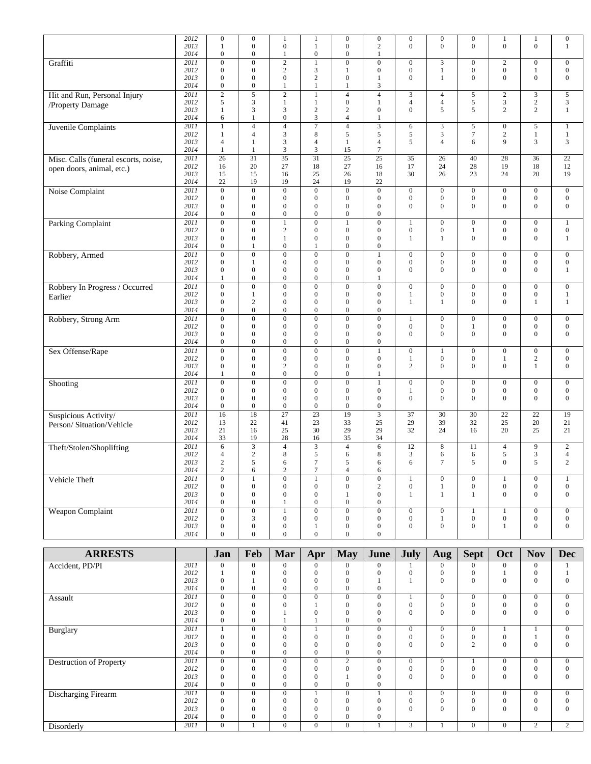|                                      | 2012 | $\boldsymbol{0}$ | $\mathbf{0}$     | 1                       | 1                | $\boldsymbol{0}$ | $\boldsymbol{0}$        | $\boldsymbol{0}$ | $\boldsymbol{0}$ | $\boldsymbol{0}$ | 1                | 1                | $\boldsymbol{0}$ |
|--------------------------------------|------|------------------|------------------|-------------------------|------------------|------------------|-------------------------|------------------|------------------|------------------|------------------|------------------|------------------|
|                                      | 2013 | 1                | $\boldsymbol{0}$ | $\boldsymbol{0}$        | 1                | $\boldsymbol{0}$ | $\overline{2}$          | $\overline{0}$   | $\mathbf{0}$     | $\mathbf{0}$     | $\overline{0}$   | $\boldsymbol{0}$ | $\mathbf{1}$     |
|                                      |      | $\boldsymbol{0}$ | $\boldsymbol{0}$ | 1                       | $\boldsymbol{0}$ | $\boldsymbol{0}$ |                         |                  |                  |                  |                  |                  |                  |
|                                      | 2014 |                  |                  |                         |                  |                  | 1                       |                  |                  |                  |                  |                  |                  |
| Graffiti                             | 2011 | $\boldsymbol{0}$ | $\overline{0}$   | $\sqrt{2}$              |                  | $\overline{0}$   | $\overline{0}$          | $\boldsymbol{0}$ | 3                | $\boldsymbol{0}$ | $\overline{c}$   | $\boldsymbol{0}$ | $\boldsymbol{0}$ |
|                                      | 2012 | $\mathbf{0}$     | $\boldsymbol{0}$ | $\sqrt{2}$              | 3                | 1                | $\mathbf{0}$            | $\boldsymbol{0}$ | $\mathbf{1}$     | $\boldsymbol{0}$ | $\boldsymbol{0}$ | 1                | $\boldsymbol{0}$ |
|                                      | 2013 | $\mathbf{0}$     | $\boldsymbol{0}$ | $\boldsymbol{0}$        | $\overline{c}$   | $\boldsymbol{0}$ | $\mathbf{1}$            | $\boldsymbol{0}$ | $\mathbf{1}$     | $\boldsymbol{0}$ | $\boldsymbol{0}$ | $\boldsymbol{0}$ | $\boldsymbol{0}$ |
|                                      | 2014 | $\boldsymbol{0}$ | $\boldsymbol{0}$ | 1                       | 1                | $\mathbf{1}$     | 3                       |                  |                  |                  |                  |                  |                  |
|                                      |      |                  |                  |                         |                  |                  |                         |                  |                  |                  |                  |                  |                  |
| Hit and Run, Personal Injury         | 2011 | $\mathbf{2}$     | $\sqrt{5}$       | $\sqrt{2}$              | 1                | $\sqrt{4}$       | $\overline{4}$          | 3                | $\overline{4}$   | $\sqrt{5}$       | $\overline{c}$   | $\mathfrak{Z}$   | 5                |
|                                      | 2012 | 5                | 3                | $\mathbf{1}$            | 1                | $\boldsymbol{0}$ | $\mathbf{1}$            | 4                | $\overline{4}$   | $\sqrt{5}$       | 3                | $\overline{c}$   | $\sqrt{3}$       |
| /Property Damage                     | 2013 | $\mathbf{1}$     | 3                | 3                       | $\overline{c}$   | $\sqrt{2}$       | $\mathbf{0}$            | $\overline{0}$   | 5                | 5                | $\overline{c}$   | $\overline{c}$   | $\mathbf{1}$     |
|                                      |      |                  |                  |                         |                  |                  |                         |                  |                  |                  |                  |                  |                  |
|                                      | 2014 | 6                | $\mathbf{1}$     | $\boldsymbol{0}$        | 3                | $\overline{4}$   | 1                       |                  |                  |                  |                  |                  |                  |
| Juvenile Complaints                  | 2011 | 1                | $\overline{4}$   | $\overline{\mathbf{4}}$ | $\overline{7}$   | $\overline{4}$   | $\overline{3}$          | 6                | $\mathfrak{Z}$   | $\sqrt{5}$       | $\boldsymbol{0}$ | 5                | 1                |
|                                      | 2012 | 1                | $\overline{4}$   | 3                       | 8                | 5                | 5                       | 5                | $\mathfrak{Z}$   | $\boldsymbol{7}$ | $\overline{c}$   | $\mathbf{1}$     | $\mathbf{1}$     |
|                                      | 2013 | $\overline{4}$   | $\mathbf{1}$     | 3                       | $\overline{4}$   | 1                | $\overline{4}$          | 5                | $\overline{4}$   | 6                | 9                | 3                | 3                |
|                                      |      |                  |                  |                         |                  |                  |                         |                  |                  |                  |                  |                  |                  |
|                                      | 2014 | 1                | 1                | $\mathfrak{Z}$          | 3                | 15               | $\overline{7}$          |                  |                  |                  |                  |                  |                  |
| Misc. Calls (funeral escorts, noise, | 2011 | 26               | 31               | $\overline{35}$         | 31               | 25               | 25                      | 35               | 26               | 40               | 28               | 36               | 22               |
|                                      | 2012 | 16               | 20               | 27                      | 18               | 27               | 16                      | 17               | 24               | 28               | 19               | 18               | 12               |
| open doors, animal, etc.)            |      |                  |                  |                         |                  |                  |                         |                  |                  |                  |                  |                  |                  |
|                                      | 2013 | 15               | 15               | 16                      | 25               | 26               | 18                      | 30               | 26               | 23               | 24               | 20               | 19               |
|                                      | 2014 | 22               | 19               | 19                      | 24               | 19               | 22                      |                  |                  |                  |                  |                  |                  |
| Noise Complaint                      | 2011 | $\boldsymbol{0}$ | $\overline{0}$   | $\boldsymbol{0}$        | $\boldsymbol{0}$ | $\overline{0}$   | $\overline{0}$          | $\boldsymbol{0}$ | $\boldsymbol{0}$ | $\boldsymbol{0}$ | $\boldsymbol{0}$ | $\boldsymbol{0}$ | $\boldsymbol{0}$ |
|                                      | 2012 | $\mathbf{0}$     | $\boldsymbol{0}$ | $\boldsymbol{0}$        | $\mathbf{0}$     | $\boldsymbol{0}$ | $\mathbf{0}$            | $\boldsymbol{0}$ | $\boldsymbol{0}$ | $\boldsymbol{0}$ | $\boldsymbol{0}$ | $\mathbf{0}$     | $\boldsymbol{0}$ |
|                                      |      |                  |                  |                         |                  |                  |                         |                  |                  |                  |                  |                  |                  |
|                                      | 2013 | $\mathbf{0}$     | $\mathbf{0}$     | $\boldsymbol{0}$        | $\mathbf{0}$     | $\boldsymbol{0}$ | $\boldsymbol{0}$        | $\overline{0}$   | $\mathbf{0}$     | $\mathbf{0}$     | $\overline{0}$   | $\boldsymbol{0}$ | $\boldsymbol{0}$ |
|                                      | 2014 | $\mathbf{0}$     | $\mathbf{0}$     | $\boldsymbol{0}$        | $\mathbf{0}$     | $\boldsymbol{0}$ | $\boldsymbol{0}$        |                  |                  |                  |                  |                  |                  |
| Parking Complaint                    | 2011 | $\mathbf{0}$     | $\overline{0}$   | $\mathbf{1}$            | $\overline{0}$   | $\mathbf{1}$     | $\overline{0}$          | $\mathbf{1}$     | $\boldsymbol{0}$ | $\boldsymbol{0}$ | $\boldsymbol{0}$ | $\boldsymbol{0}$ | $\mathbf{1}$     |
|                                      | 2012 | $\boldsymbol{0}$ | $\boldsymbol{0}$ | $\overline{c}$          | $\boldsymbol{0}$ | $\boldsymbol{0}$ | $\mathbf{0}$            | $\boldsymbol{0}$ | $\boldsymbol{0}$ | $\mathbf{1}$     | $\boldsymbol{0}$ | $\boldsymbol{0}$ | $\boldsymbol{0}$ |
|                                      |      |                  |                  |                         |                  |                  |                         |                  |                  |                  |                  |                  |                  |
|                                      | 2013 | $\mathbf{0}$     | $\boldsymbol{0}$ | 1                       | $\mathbf{0}$     | $\boldsymbol{0}$ | $\mathbf{0}$            | 1                | $\mathbf{1}$     | $\boldsymbol{0}$ | $\boldsymbol{0}$ | $\boldsymbol{0}$ | 1                |
|                                      | 2014 | $\boldsymbol{0}$ | $\mathbf{1}$     | $\boldsymbol{0}$        | 1                | $\boldsymbol{0}$ | $\boldsymbol{0}$        |                  |                  |                  |                  |                  |                  |
|                                      | 2011 | $\boldsymbol{0}$ | $\boldsymbol{0}$ | $\boldsymbol{0}$        | $\boldsymbol{0}$ | $\boldsymbol{0}$ | $\mathbf{1}$            | 0                | $\boldsymbol{0}$ | $\boldsymbol{0}$ | $\boldsymbol{0}$ | $\boldsymbol{0}$ | $\mathbf{0}$     |
| Robbery, Armed                       |      |                  |                  |                         |                  |                  |                         |                  |                  |                  |                  |                  |                  |
|                                      | 2012 | $\boldsymbol{0}$ | 1                | $\boldsymbol{0}$        | $\boldsymbol{0}$ | $\boldsymbol{0}$ | $\boldsymbol{0}$        | $\boldsymbol{0}$ | $\boldsymbol{0}$ | $\boldsymbol{0}$ | $\boldsymbol{0}$ | $\boldsymbol{0}$ | $\boldsymbol{0}$ |
|                                      | 2013 | $\boldsymbol{0}$ | $\boldsymbol{0}$ | $\boldsymbol{0}$        | $\boldsymbol{0}$ | $\boldsymbol{0}$ | $\boldsymbol{0}$        | $\overline{0}$   | $\mathbf{0}$     | $\mathbf{0}$     | $\boldsymbol{0}$ | $\boldsymbol{0}$ | $\mathbf{1}$     |
|                                      | 2014 | 1                | $\boldsymbol{0}$ | $\overline{0}$          | $\mathbf{0}$     | $\mathbf{0}$     | 1                       |                  |                  |                  |                  |                  |                  |
|                                      | 2011 | $\overline{0}$   | $\boldsymbol{0}$ | $\boldsymbol{0}$        | $\overline{0}$   | $\boldsymbol{0}$ | $\mathbf{0}$            | $\boldsymbol{0}$ | $\boldsymbol{0}$ | $\mathbf{0}$     | $\boldsymbol{0}$ | $\boldsymbol{0}$ | $\mathbf{0}$     |
| Robbery In Progress / Occurred       |      |                  |                  |                         |                  |                  |                         |                  |                  |                  |                  |                  |                  |
| Earlier                              | 2012 | $\boldsymbol{0}$ | 1                | $\boldsymbol{0}$        | $\boldsymbol{0}$ | $\boldsymbol{0}$ | $\boldsymbol{0}$        | 1                | $\boldsymbol{0}$ | $\boldsymbol{0}$ | $\boldsymbol{0}$ | $\boldsymbol{0}$ | 1                |
|                                      | 2013 | $\mathbf{0}$     | $\overline{2}$   | $\boldsymbol{0}$        | $\mathbf{0}$     | $\boldsymbol{0}$ | $\mathbf{0}$            | $\mathbf{1}$     | $\mathbf{1}$     | $\mathbf{0}$     | $\boldsymbol{0}$ | $\mathbf{1}$     | $\mathbf{1}$     |
|                                      | 2014 | $\boldsymbol{0}$ | $\boldsymbol{0}$ | $\boldsymbol{0}$        | $\boldsymbol{0}$ | $\boldsymbol{0}$ | $\boldsymbol{0}$        |                  |                  |                  |                  |                  |                  |
|                                      | 2011 | $\boldsymbol{0}$ | $\boldsymbol{0}$ | $\boldsymbol{0}$        | $\overline{0}$   | $\boldsymbol{0}$ | $\mathbf{0}$            | 1                | $\boldsymbol{0}$ | $\mathbf{0}$     | $\boldsymbol{0}$ | $\boldsymbol{0}$ |                  |
| Robbery, Strong Arm                  |      |                  |                  |                         |                  |                  |                         |                  |                  |                  |                  |                  | $\boldsymbol{0}$ |
|                                      | 2012 | $\boldsymbol{0}$ | $\boldsymbol{0}$ | $\boldsymbol{0}$        | $\boldsymbol{0}$ | $\boldsymbol{0}$ | $\boldsymbol{0}$        | $\boldsymbol{0}$ | $\boldsymbol{0}$ | 1                | $\boldsymbol{0}$ | $\boldsymbol{0}$ | $\boldsymbol{0}$ |
|                                      | 2013 | $\boldsymbol{0}$ | $\boldsymbol{0}$ | $\boldsymbol{0}$        | $\mathbf{0}$     | $\boldsymbol{0}$ | $\mathbf{0}$            | $\overline{0}$   | $\boldsymbol{0}$ | $\boldsymbol{0}$ | $\boldsymbol{0}$ | $\boldsymbol{0}$ | $\mathbf{0}$     |
|                                      | 2014 | $\boldsymbol{0}$ | $\boldsymbol{0}$ | $\boldsymbol{0}$        | $\mathbf{0}$     | $\boldsymbol{0}$ | $\mathbf{0}$            |                  |                  |                  |                  |                  |                  |
|                                      |      |                  |                  |                         |                  |                  |                         |                  |                  |                  |                  |                  |                  |
| Sex Offense/Rape                     | 2011 | $\overline{0}$   | $\overline{0}$   | $\overline{0}$          | $\overline{0}$   | $\overline{0}$   | $\mathbf{1}$            | $\boldsymbol{0}$ | $\mathbf{1}$     | $\boldsymbol{0}$ | $\overline{0}$   | $\overline{0}$   | $\boldsymbol{0}$ |
|                                      | 2012 | $\mathbf{0}$     | $\boldsymbol{0}$ | $\boldsymbol{0}$        | $\boldsymbol{0}$ | $\boldsymbol{0}$ | $\boldsymbol{0}$        | 1                | $\boldsymbol{0}$ | $\boldsymbol{0}$ | 1                | $\boldsymbol{2}$ | $\boldsymbol{0}$ |
|                                      | 2013 | $\mathbf{0}$     | $\boldsymbol{0}$ | $\mathbf{2}$            | $\mathbf{0}$     | $\mathbf{0}$     | $\mathbf{0}$            | $\overline{c}$   | $\mathbf{0}$     | $\boldsymbol{0}$ | $\boldsymbol{0}$ | $\mathbf{1}$     | $\mathbf{0}$     |
|                                      | 2014 | 1                | $\boldsymbol{0}$ | $\boldsymbol{0}$        | $\mathbf{0}$     | $\boldsymbol{0}$ | $\mathbf{1}$            |                  |                  |                  |                  |                  |                  |
|                                      |      |                  |                  |                         |                  |                  |                         |                  |                  |                  |                  |                  |                  |
| Shooting                             | 2011 | $\boldsymbol{0}$ | $\overline{0}$   | $\overline{0}$          | $\overline{0}$   | $\overline{0}$   | $\mathbf{1}$            | $\boldsymbol{0}$ | $\boldsymbol{0}$ | $\boldsymbol{0}$ | $\boldsymbol{0}$ | $\overline{0}$   | $\boldsymbol{0}$ |
|                                      | 2012 | $\mathbf{0}$     | $\boldsymbol{0}$ | $\boldsymbol{0}$        | $\mathbf{0}$     | $\boldsymbol{0}$ | $\mathbf{0}$            | $\mathbf{1}$     | $\boldsymbol{0}$ | $\boldsymbol{0}$ | $\boldsymbol{0}$ | $\boldsymbol{0}$ | $\boldsymbol{0}$ |
|                                      | 2013 | $\boldsymbol{0}$ | $\boldsymbol{0}$ | $\boldsymbol{0}$        | $\mathbf{0}$     | $\boldsymbol{0}$ | $\boldsymbol{0}$        | $\overline{0}$   | $\mathbf{0}$     | $\mathbf{0}$     | $\overline{0}$   | $\mathbf{0}$     | $\mathbf{0}$     |
|                                      | 2014 | $\boldsymbol{0}$ | $\boldsymbol{0}$ | $\boldsymbol{0}$        | $\boldsymbol{0}$ | $\boldsymbol{0}$ | $\boldsymbol{0}$        |                  |                  |                  |                  |                  |                  |
|                                      |      |                  |                  |                         |                  |                  |                         |                  |                  |                  |                  |                  |                  |
| Suspicious Activity/                 | 2011 | 16               | 18               | 27                      | $\overline{23}$  | 19               | $\overline{\mathbf{3}}$ | 37               | 30               | 30               | $22\,$           | $\overline{22}$  | 19               |
| Person/Situation/Vehicle             | 2012 | 13               | 22               | 41                      | 23               | 33               | 25                      | 29               | 39               | 32               | 25               | 20               | 21               |
|                                      | 2013 | 21               | 16               | 25                      | 30               | 29               | 29                      | 32               | 24               | 16               | 20               | 25               | 21               |
|                                      | 2014 | 33               | 19               | 28                      | 16               | 35               | 34                      |                  |                  |                  |                  |                  |                  |
|                                      |      |                  |                  |                         |                  |                  |                         |                  |                  |                  |                  |                  |                  |
| Theft/Stolen/Shoplifting             | 2011 | 6                | $\overline{3}$   | $\overline{4}$          | 3                | $\overline{4}$   | 6                       | 12               | 8                | 11               | 4                | 9                | $\overline{c}$   |
|                                      | 2012 | $\overline{4}$   | $\mathbf{2}$     | 8                       | 5                | 6                | 8                       | 3                | 6                | 6                | 5                | 3                | $\overline{4}$   |
|                                      | 2013 | $\overline{c}$   | 5                | 6                       | 7                | 5                | 6                       | 6                | $\tau$           | 5                | $\mathbf{0}$     | 5                | 2                |
|                                      | 2014 |                  |                  |                         | $\tau$           |                  |                         |                  |                  |                  |                  |                  |                  |
|                                      |      | $\overline{2}$   | 6                | $\overline{2}$          |                  | $\overline{4}$   | 6                       |                  |                  |                  |                  |                  |                  |
| Vehicle Theft                        | 2011 | $\boldsymbol{0}$ | $\mathbf{1}$     | $\boldsymbol{0}$        | $\mathbf{1}$     | $\overline{0}$   | $\overline{0}$          | 1                | $\mathbf{0}$     | $\boldsymbol{0}$ | $\mathbf{1}$     | $\boldsymbol{0}$ | $\mathbf{1}$     |
|                                      | 2012 | $\boldsymbol{0}$ | $\boldsymbol{0}$ | $\boldsymbol{0}$        | $\boldsymbol{0}$ | $\boldsymbol{0}$ | $\sqrt{2}$              | $\boldsymbol{0}$ | $\mathbf{1}$     | $\boldsymbol{0}$ | $\boldsymbol{0}$ | $\boldsymbol{0}$ | $\boldsymbol{0}$ |
|                                      | 2013 | $\boldsymbol{0}$ | $\boldsymbol{0}$ | $\boldsymbol{0}$        | $\boldsymbol{0}$ | $\mathbf{1}$     | $\boldsymbol{0}$        | $\mathbf{1}$     | $\mathbf{1}$     | $\mathbf{1}$     | $\boldsymbol{0}$ | $\mathbf{0}$     | $\boldsymbol{0}$ |
|                                      |      |                  |                  |                         |                  |                  |                         |                  |                  |                  |                  |                  |                  |
|                                      | 2014 | $\boldsymbol{0}$ | $\boldsymbol{0}$ | $\mathbf{1}$            | $\boldsymbol{0}$ | $\boldsymbol{0}$ | $\boldsymbol{0}$        |                  |                  |                  |                  |                  |                  |
| <b>Weapon Complaint</b>              | 2011 | $\boldsymbol{0}$ | $\overline{0}$   | $\mathbf{1}$            | $\boldsymbol{0}$ | $\overline{0}$   | $\boldsymbol{0}$        | $\mathbf{0}$     | $\boldsymbol{0}$ | $\mathbf{1}$     | 1                | $\boldsymbol{0}$ | $\boldsymbol{0}$ |
|                                      | 2012 | $\boldsymbol{0}$ | $\mathfrak{Z}$   | $\boldsymbol{0}$        | $\boldsymbol{0}$ | $\boldsymbol{0}$ | $\boldsymbol{0}$        | $\boldsymbol{0}$ | $\mathbf{1}$     | $\boldsymbol{0}$ | $\boldsymbol{0}$ | $\boldsymbol{0}$ | $\boldsymbol{0}$ |
|                                      | 2013 | $\boldsymbol{0}$ | $\boldsymbol{0}$ | $\boldsymbol{0}$        | 1                | $\boldsymbol{0}$ | $\boldsymbol{0}$        | $\boldsymbol{0}$ | $\mathbf{0}$     | $\boldsymbol{0}$ | $\mathbf{1}$     | $\boldsymbol{0}$ | $\boldsymbol{0}$ |
|                                      |      |                  |                  |                         |                  |                  |                         |                  |                  |                  |                  |                  |                  |
|                                      | 2014 | $\boldsymbol{0}$ | $\overline{0}$   | $\boldsymbol{0}$        | $\boldsymbol{0}$ | $\mathbf{0}$     | $\boldsymbol{0}$        |                  |                  |                  |                  |                  |                  |
|                                      |      |                  |                  |                         |                  |                  |                         |                  |                  |                  |                  |                  |                  |

| <b>ARRESTS</b>          |      | Jan            | Feb          | Mar            | Apr            | <b>May</b>       | June         | July           | Aug          | <b>Sept</b>    | Oct              | <b>Nov</b>     | <b>Dec</b>     |
|-------------------------|------|----------------|--------------|----------------|----------------|------------------|--------------|----------------|--------------|----------------|------------------|----------------|----------------|
| Accident, PD/PI         | 2011 | $\Omega$       | $\Omega$     | $\theta$       | $\Omega$       | $\Omega$         | $\Omega$     |                | $\Omega$     | $\Omega$       | $\Omega$         | $\Omega$       |                |
|                         | 2012 |                | $\Omega$     | $\mathbf{0}$   | $\Omega$       | $\Omega$         | 0            | $\Omega$       | $\mathbf{0}$ | $\mathbf{0}$   |                  | $\Omega$       |                |
|                         | 2013 | $\Omega$       |              | $\theta$       | $\mathbf{0}$   | $\theta$         |              |                | $\mathbf{0}$ | $\mathbf{0}$   | $\boldsymbol{0}$ | $\overline{0}$ |                |
|                         | 2014 | $\overline{0}$ | $\mathbf{0}$ | $\overline{0}$ | $\mathbf{0}$   | $\mathbf{0}$     | $\mathbf{0}$ |                |              |                |                  |                |                |
| Assault                 | 2011 | $\Omega$       | $\Omega$     | $\mathbf{0}$   | $\mathbf{0}$   | $\mathbf{0}$     | $\Omega$     |                | $\mathbf{0}$ | $\Omega$       | $\mathbf{0}$     | $\mathbf{0}$   | $\Omega$       |
|                         | 2012 | $\Omega$       | $\Omega$     | $\theta$       |                | $\mathbf{0}$     | $\Omega$     | $\Omega$       | $\mathbf{0}$ | $\mathbf{0}$   | $\mathbf{0}$     | $\theta$       |                |
|                         | 2013 | $\Omega$       | $\theta$     |                | $\overline{0}$ | $\mathbf{0}$     | $\mathbf{0}$ | $\mathbf{0}$   | $\mathbf{0}$ | $\mathbf{0}$   | $\mathbf{0}$     | $\mathbf{0}$   | $\Omega$       |
|                         | 2014 | $\overline{0}$ | $\theta$     |                |                | $\mathbf{0}$     | $\mathbf{0}$ |                |              |                |                  |                |                |
| Burglary                | 2011 |                | $\Omega$     | $\mathbf{0}$   |                | $\mathbf{0}$     | $\Omega$     | $\theta$       | $\Omega$     | $\mathbf{0}$   |                  |                | $\Omega$       |
|                         | 2012 | $\Omega$       | $\Omega$     | $\overline{0}$ | $\mathbf{0}$   | $\mathbf{0}$     | $\Omega$     | $\mathbf{0}$   | $\mathbf{0}$ | $\mathbf{0}$   | $\mathbf{0}$     |                |                |
|                         | 2013 | $\Omega$       | $\theta$     | $\overline{0}$ | $\mathbf{0}$   | $\mathbf{0}$     | $\mathbf{0}$ | $\theta$       | $\mathbf{0}$ | $\overline{c}$ | $\mathbf{0}$     | $\overline{0}$ |                |
|                         | 2014 | $\overline{0}$ | $\Omega$     | $\Omega$       | $\mathbf{0}$   | $\mathbf{0}$     | $\Omega$     |                |              |                |                  |                |                |
| Destruction of Property | 2011 | $\overline{0}$ | $\Omega$     | $\mathbf{0}$   | $\mathbf{0}$   | $\overline{c}$   | $\Omega$     | $\overline{0}$ | $\mathbf{0}$ |                | $\mathbf{0}$     | $\mathbf{0}$   | $\Omega$       |
|                         | 2012 | 0              | $\Omega$     | $\theta$       | 0              | $\Omega$         | 0            | $\mathbf{0}$   | $\mathbf{0}$ | 0              | $\mathbf{0}$     | $\theta$       |                |
|                         | 2013 | $\Omega$       | $\theta$     | $\mathbf{0}$   | $\mathbf{0}$   |                  | 0            | $\Omega$       | $\Omega$     | $\Omega$       | $\mathbf{0}$     | $\theta$       |                |
|                         | 2014 | $\overline{0}$ | $\Omega$     | $\Omega$       | $\mathbf{0}$   | $\mathbf{0}$     | $\mathbf{0}$ |                |              |                |                  |                |                |
| Discharging Firearm     | 2011 | $\Omega$       | $\Omega$     | $\overline{0}$ |                | $\mathbf{0}$     |              | $\Omega$       | $\mathbf{0}$ | $\overline{0}$ | $\mathbf{0}$     | $\Omega$       | $\Omega$       |
|                         | 2012 | $\Omega$       | $\Omega$     | $\mathbf{0}$   | 0              | $\Omega$         | $\Omega$     | $\Omega$       | $\mathbf{0}$ | $\mathbf{0}$   | $\mathbf{0}$     | $\overline{0}$ |                |
|                         | 2013 | 0              | $\theta$     | $\overline{0}$ | 0              | $\theta$         | $\mathbf{0}$ | $\theta$       | $\mathbf{0}$ | $\mathbf{0}$   | $\mathbf{0}$     | $\overline{0}$ |                |
|                         | 2014 | $\overline{0}$ | $\Omega$     | $\Omega$       | $\mathbf{0}$   | $\boldsymbol{0}$ | $\mathbf{0}$ |                |              |                |                  |                |                |
| Disorderly              | 2011 | $\Omega$       |              | $\mathbf{0}$   | $\Omega$       | $\mathbf{0}$     |              | 3              |              | $\mathbf{0}$   | $\mathbf{0}$     | $\overline{c}$ | $\overline{2}$ |